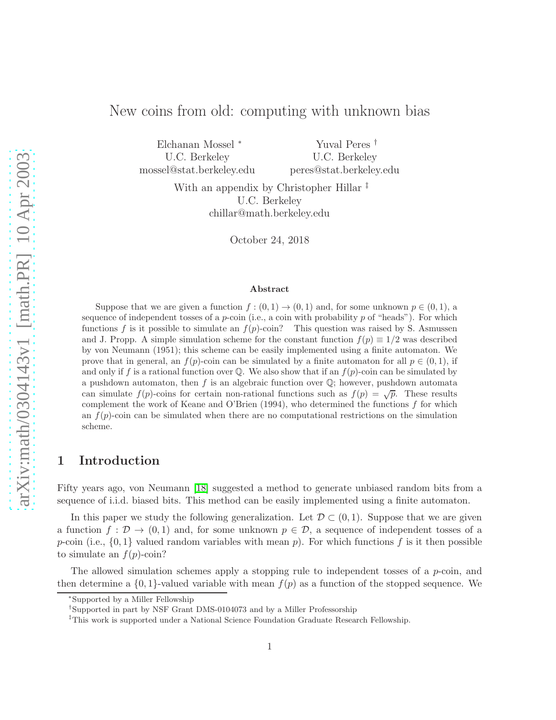# New coins from old: computing with unknown bias

Elchanan Mossel <sup>∗</sup> U.C. Berkeley mossel@stat.berkeley.edu

Yuval Peres † U.C. Berkeley peres@stat.berkeley.edu

With an appendix by Christopher Hillar  $\ddagger$ U.C. Berkeley chillar@math.berkeley.edu

October 24, 2018

#### Abstract

Suppose that we are given a function  $f:(0,1) \to (0,1)$  and, for some unknown  $p \in (0,1)$ , a sequence of independent tosses of a  $p$ -coin (i.e., a coin with probability  $p$  of "heads"). For which functions f is it possible to simulate an  $f(p)$ -coin? This question was raised by S. Asmussen and J. Propp. A simple simulation scheme for the constant function  $f(p) \equiv 1/2$  was described by von Neumann (1951); this scheme can be easily implemented using a finite automaton. We prove that in general, an  $f(p)$ -coin can be simulated by a finite automaton for all  $p \in (0,1)$ , if and only if f is a rational function over  $\mathbb Q$ . We also show that if an  $f(p)$ -coin can be simulated by a pushdown automaton, then f is an algebraic function over  $\mathbb{Q}$ ; however, pushdown automata can simulate  $f(p)$ -coins for certain non-rational functions such as  $f(p) = \sqrt{p}$ . These results complement the work of Keane and O'Brien (1994), who determined the functions  $f$  for which an  $f(p)$ -coin can be simulated when there are no computational restrictions on the simulation scheme.

# 1 Introduction

Fifty years ago, von Neumann [\[18\]](#page-14-0) suggested a method to generate unbiased random bits from a sequence of i.i.d. biased bits. This method can be easily implemented using a finite automaton.

In this paper we study the following generalization. Let  $\mathcal{D} \subset (0,1)$ . Suppose that we are given a function  $f: \mathcal{D} \to (0,1)$  and, for some unknown  $p \in \mathcal{D}$ , a sequence of independent tosses of a p-coin (i.e.,  $\{0,1\}$  valued random variables with mean p). For which functions f is it then possible to simulate an  $f(p)$ -coin?

The allowed simulation schemes apply a stopping rule to independent tosses of a  $p$ -coin, and then determine a  $\{0,1\}$ -valued variable with mean  $f(p)$  as a function of the stopped sequence. We

<sup>∗</sup> Supported by a Miller Fellowship

<sup>†</sup>Supported in part by NSF Grant DMS-0104073 and by a Miller Professorship

<sup>‡</sup>This work is supported under a National Science Foundation Graduate Research Fellowship.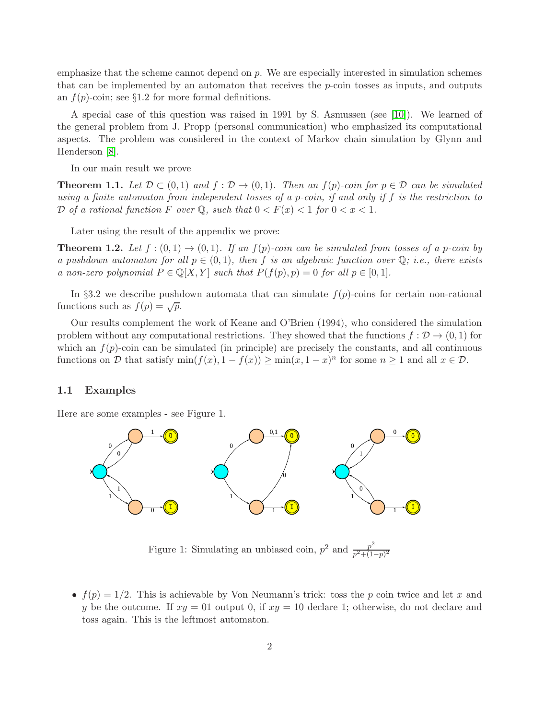emphasize that the scheme cannot depend on  $p$ . We are especially interested in simulation schemes that can be implemented by an automaton that receives the  $p$ -coin tosses as inputs, and outputs an  $f(p)$ -coin; see §1.2 for more formal definitions.

A special case of this question was raised in 1991 by S. Asmussen (see [\[10\]](#page-14-1)). We learned of the general problem from J. Propp (personal communication) who emphasized its computational aspects. The problem was considered in the context of Markov chain simulation by Glynn and Henderson [\[8\]](#page-14-2).

In our main result we prove

<span id="page-1-1"></span>**Theorem 1.1.** Let  $\mathcal{D} \subset (0,1)$  and  $f : \mathcal{D} \to (0,1)$ . Then an  $f(p)$ -coin for  $p \in \mathcal{D}$  can be simulated using a finite automaton from independent tosses of a p-coin, if and only if f is the restriction to D of a rational function F over  $\mathbb Q$ , such that  $0 < F(x) < 1$  for  $0 < x < 1$ .

Later using the result of the appendix we prove:

<span id="page-1-0"></span>**Theorem 1.2.** Let  $f:(0,1) \rightarrow (0,1)$ . If an  $f(p)$ -coin can be simulated from tosses of a p-coin by a pushdown automaton for all  $p \in (0,1)$ , then f is an algebraic function over  $\mathbb{Q}$ ; i.e., there exists a non-zero polynomial  $P \in \mathbb{Q}[X, Y]$  such that  $P(f(p), p) = 0$  for all  $p \in [0, 1]$ .

In §3.2 we describe pushdown automata that can simulate  $f(p)$ -coins for certain non-rational functions such as  $f(p) = \sqrt{p}$ .

Our results complement the work of Keane and O'Brien (1994), who considered the simulation problem without any computational restrictions. They showed that the functions  $f : \mathcal{D} \to (0,1)$  for which an  $f(p)$ -coin can be simulated (in principle) are precisely the constants, and all continuous functions on D that satisfy  $\min(f(x), 1 - f(x)) \ge \min(x, 1 - x)^n$  for some  $n \ge 1$  and all  $x \in \mathcal{D}$ .

### 1.1 Examples

Here are some examples - see Figure 1.



Figure 1: Simulating an unbiased coin,  $p^2$  and  $\frac{p^2}{n^2+1}$  $p^2+(1-p)^2$ 

•  $f(p) = 1/2$ . This is achievable by Von Neumann's trick: toss the p coin twice and let x and y be the outcome. If  $xy = 01$  output 0, if  $xy = 10$  declare 1; otherwise, do not declare and toss again. This is the leftmost automaton.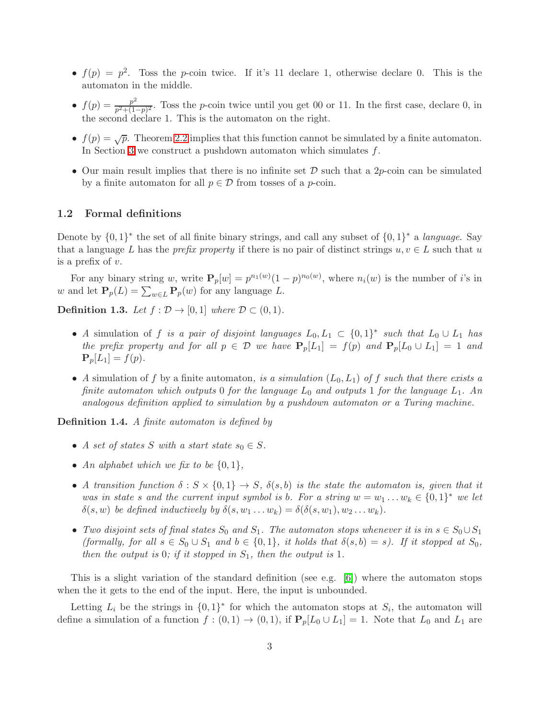- $f(p) = p^2$ . Toss the p-coin twice. If it's 11 declare 1, otherwise declare 0. This is the automaton in the middle.
- $f(p) = \frac{p^2}{p^2 + (1-p^2)}$  $\frac{p}{p^2+(1-p)^2}$ . Toss the *p*-coin twice until you get 00 or 11. In the first case, declare 0, in the second declare 1. This is the automaton on the right.
- $f(p) = \sqrt{p}$ . Theorem [2.2](#page-4-0) implies that this function cannot be simulated by a finite automaton. In Section [3](#page-8-0) we construct a pushdown automaton which simulates f.
- Our main result implies that there is no infinite set  $\mathcal D$  such that a 2p-coin can be simulated by a finite automaton for all  $p \in \mathcal{D}$  from tosses of a p-coin.

### 1.2 Formal definitions

Denote by  $\{0,1\}^*$  the set of all finite binary strings, and call any subset of  $\{0,1\}^*$  a *language*. Say that a language L has the prefix property if there is no pair of distinct strings  $u, v \in L$  such that u is a prefix of  $v$ .

For any binary string w, write  $P_p[w] = p^{n_1(w)}(1-p)^{n_0(w)}$ , where  $n_i(w)$  is the number of i's in w and let  $\mathbf{P}_p(L) = \sum_{w \in L} \mathbf{P}_p(w)$  for any language L.

**Definition 1.3.** Let  $f : \mathcal{D} \to [0,1]$  where  $\mathcal{D} \subset (0,1)$ .

- A simulation of f is a pair of disjoint languages  $L_0, L_1 \subset \{0, 1\}^*$  such that  $L_0 \cup L_1$  has the prefix property and for all  $p \in \mathcal{D}$  we have  $P_p[L_1] = f(p)$  and  $P_p[L_0 \cup L_1] = 1$  and  ${\bf P}_p[L_1] = f(p).$
- A simulation of f by a finite automaton, is a simulation  $(L_0, L_1)$  of f such that there exists a finite automaton which outputs 0 for the language  $L_0$  and outputs 1 for the language  $L_1$ . An analogous definition applied to simulation by a pushdown automaton or a Turing machine.

<span id="page-2-0"></span>Definition 1.4. A finite automaton is defined by

- A set of states S with a start state  $s_0 \in S$ .
- An alphabet which we fix to be  $\{0,1\}$ ,
- A transition function  $\delta: S \times \{0,1\} \to S$ ,  $\delta(s,b)$  is the state the automaton is, given that it was in state s and the current input symbol is b. For a string  $w = w_1 \dots w_k \in \{0,1\}^*$  we let  $\delta(s, w)$  be defined inductively by  $\delta(s, w_1 \dots w_k) = \delta(\delta(s, w_1), w_2 \dots w_k)$ .
- Two disjoint sets of final states  $S_0$  and  $S_1$ . The automaton stops whenever it is in  $s \in S_0 \cup S_1$ (formally, for all  $s \in S_0 \cup S_1$  and  $b \in \{0,1\}$ , it holds that  $\delta(s,b) = s$ ). If it stopped at  $S_0$ , then the output is 0; if it stopped in  $S_1$ , then the output is 1.

This is a slight variation of the standard definition (see e.g. [\[6\]](#page-14-3)) where the automaton stops when the it gets to the end of the input. Here, the input is unbounded.

Letting  $L_i$  be the strings in  $\{0,1\}^*$  for which the automaton stops at  $S_i$ , the automaton will define a simulation of a function  $f:(0,1) \to (0,1)$ , if  $\mathbf{P}_p[L_0 \cup L_1] = 1$ . Note that  $L_0$  and  $L_1$  are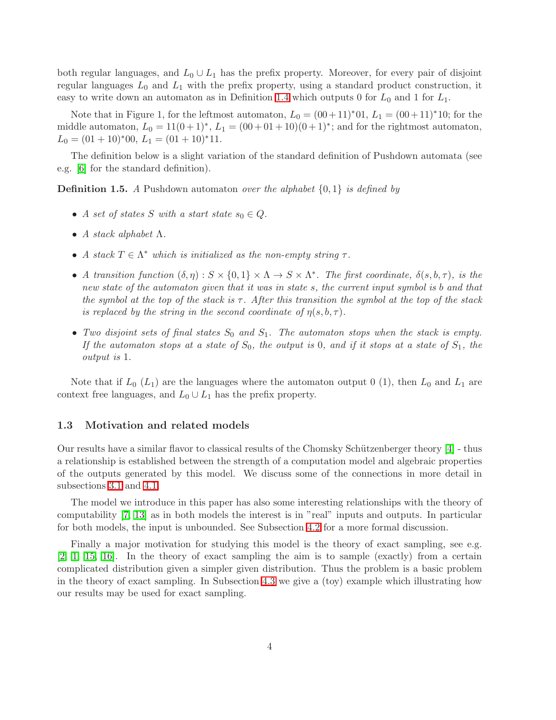both regular languages, and  $L_0 \cup L_1$  has the prefix property. Moreover, for every pair of disjoint regular languages  $L_0$  and  $L_1$  with the prefix property, using a standard product construction, it easy to write down an automaton as in Definition [1.4](#page-2-0) which outputs 0 for  $L_0$  and 1 for  $L_1$ .

Note that in Figure 1, for the leftmost automaton,  $L_0 = (00+11)^*01$ ,  $L_1 = (00+11)^*10$ ; for the middle automaton,  $L_0 = 11(0+1)^*$ ,  $L_1 = (00+01+10)(0+1)^*$ ; and for the rightmost automaton,  $L_0 = (01 + 10)^* 00, L_1 = (01 + 10)^* 11.$ 

The definition below is a slight variation of the standard definition of Pushdown automata (see e.g. [\[6\]](#page-14-3) for the standard definition).

**Definition 1.5.** A Pushdown automaton over the alphabet  $\{0, 1\}$  is defined by

- A set of states S with a start state  $s_0 \in Q$ .
- A stack alphabet  $\Lambda$ .
- A stack  $T \in \Lambda^*$  which is initialized as the non-empty string  $\tau$ .
- A transition function  $(\delta, \eta) : S \times \{0,1\} \times \Lambda \to S \times \Lambda^*$ . The first coordinate,  $\delta(s, b, \tau)$ , is the new state of the automaton given that it was in state s, the current input symbol is b and that the symbol at the top of the stack is  $\tau$ . After this transition the symbol at the top of the stack is replaced by the string in the second coordinate of  $n(s, b, \tau)$ .
- Two disjoint sets of final states  $S_0$  and  $S_1$ . The automaton stops when the stack is empty. If the automaton stops at a state of  $S_0$ , the output is 0, and if it stops at a state of  $S_1$ , the output is 1.

Note that if  $L_0(L_1)$  are the languages where the automaton output 0 (1), then  $L_0$  and  $L_1$  are context free languages, and  $L_0 \cup L_1$  has the prefix property.

### 1.3 Motivation and related models

Our results have a similar flavor to classical results of the Chomsky Schützenberger theory  $[4]$  - thus a relationship is established between the strength of a computation model and algebraic properties of the outputs generated by this model. We discuss some of the connections in more detail in subsections [3.1](#page-8-1) and [4.1.](#page-12-0)

The model we introduce in this paper has also some interesting relationships with the theory of computability [\[7,](#page-14-5) [13\]](#page-14-6) as in both models the interest is in "real" inputs and outputs. In particular for both models, the input is unbounded. See Subsection [4.2](#page-12-1) for a more formal discussion.

Finally a major motivation for studying this model is the theory of exact sampling, see e.g. [\[2,](#page-13-0) [1,](#page-13-1) [15,](#page-14-7) [16\]](#page-14-8). In the theory of exact sampling the aim is to sample (exactly) from a certain complicated distribution given a simpler given distribution. Thus the problem is a basic problem in the theory of exact sampling. In Subsection [4.3](#page-12-2) we give a (toy) example which illustrating how our results may be used for exact sampling.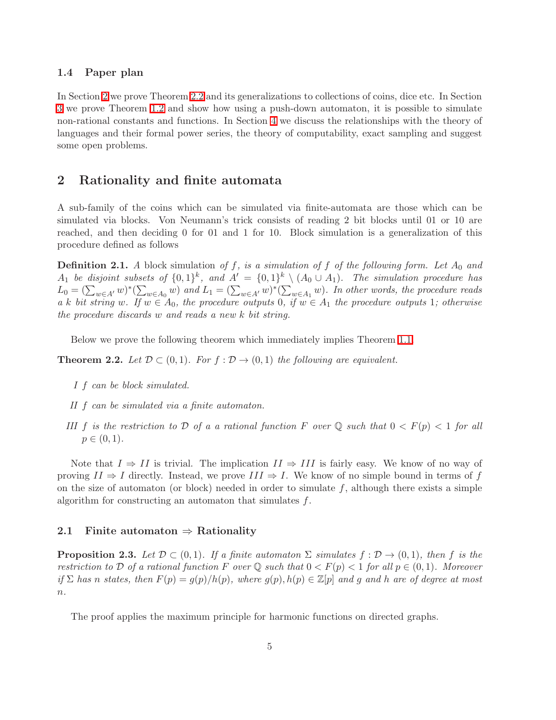### 1.4 Paper plan

In Section [2](#page-4-1) we prove Theorem [2.2](#page-4-0) and its generalizations to collections of coins, dice etc. In Section [3](#page-8-0) we prove Theorem [1.2](#page-1-0) and show how using a push-down automaton, it is possible to simulate non-rational constants and functions. In Section [4](#page-12-3) we discuss the relationships with the theory of languages and their formal power series, the theory of computability, exact sampling and suggest some open problems.

# <span id="page-4-1"></span>2 Rationality and finite automata

A sub-family of the coins which can be simulated via finite-automata are those which can be simulated via blocks. Von Neumann's trick consists of reading 2 bit blocks until 01 or 10 are reached, and then deciding 0 for 01 and 1 for 10. Block simulation is a generalization of this procedure defined as follows

**Definition 2.1.** A block simulation of f, is a simulation of f of the following form. Let  $A_0$  and  $A_1$  be disjoint subsets of  $\{0,1\}^k$ , and  $A' = \{0,1\}^k \setminus (A_0 \cup A_1)$ . The simulation procedure has  $L_0 = (\sum_{w \in A'} w)^* (\sum_{w \in A_0} w)$  and  $L_1 = (\sum_{w \in A'} w)^* (\sum_{w \in A_1} w)$ . In other words, the procedure reads a k bit string w. If  $w \in A_0$ , the procedure outputs 0, if  $w \in A_1$  the procedure outputs 1; otherwise the procedure discards w and reads a new k bit string.

Below we prove the following theorem which immediately implies Theorem [1.1.](#page-1-1)

<span id="page-4-0"></span>**Theorem 2.2.** Let  $\mathcal{D} \subset (0,1)$ . For  $f : \mathcal{D} \to (0,1)$  the following are equivalent.

- I f can be block simulated.
- II f can be simulated via a finite automaton.
- III f is the restriction to D of a a rational function F over Q such that  $0 < F(p) < 1$  for all  $p \in (0, 1)$ .

Note that  $I \Rightarrow II$  is trivial. The implication  $II \Rightarrow III$  is fairly easy. We know of no way of proving  $II \Rightarrow I$  directly. Instead, we prove  $III \Rightarrow I$ . We know of no simple bound in terms of f on the size of automaton (or block) needed in order to simulate  $f$ , although there exists a simple algorithm for constructing an automaton that simulates f.

### <span id="page-4-2"></span>2.1 Finite automation  $\Rightarrow$  Rationality

**Proposition 2.3.** Let  $\mathcal{D} \subset (0,1)$ . If a finite automator  $\Sigma$  simulates  $f : \mathcal{D} \to (0,1)$ , then f is the restriction to D of a rational function F over  $\mathbb Q$  such that  $0 < F(p) < 1$  for all  $p \in (0,1)$ . Moreover if  $\Sigma$  has n states, then  $F(p) = g(p)/h(p)$ , where  $g(p), h(p) \in \mathbb{Z}[p]$  and g and h are of degree at most  $n$ .

<span id="page-4-3"></span>The proof applies the maximum principle for harmonic functions on directed graphs.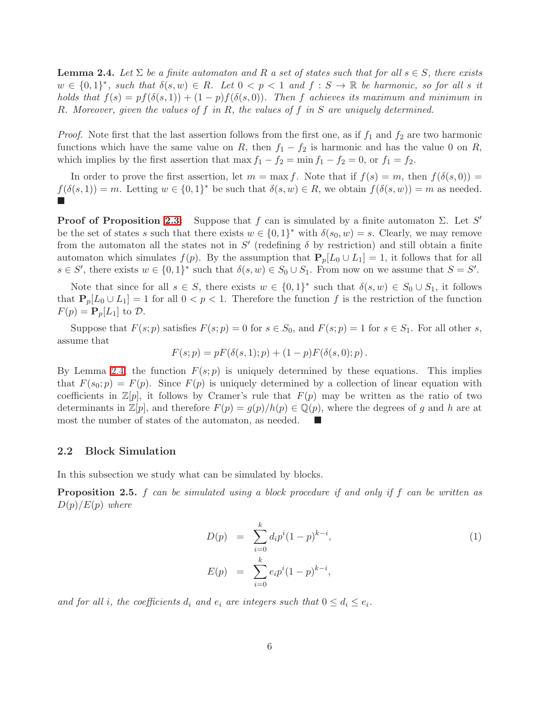**Lemma 2.4.** Let  $\Sigma$  be a finite automaton and R a set of states such that for all  $s \in S$ , there exists  $w \in \{0,1\}^*$ , such that  $\delta(s, w) \in R$ . Let  $0 < p < 1$  and  $f : S \to \mathbb{R}$  be harmonic, so for all s it holds that  $f(s) = pf(\delta(s, 1)) + (1 - p)f(\delta(s, 0))$ . Then f achieves its maximum and minimum in R. Moreover, given the values of f in R, the values of f in S are uniquely determined.

*Proof.* Note first that the last assertion follows from the first one, as if  $f_1$  and  $f_2$  are two harmonic functions which have the same value on R, then  $f_1 - f_2$  is harmonic and has the value 0 on R, which implies by the first assertion that max  $f_1 - f_2 = \min f_1 - f_2 = 0$ , or  $f_1 = f_2$ .

In order to prove the first assertion, let  $m = \max f$ . Note that if  $f(s) = m$ , then  $f(\delta(s, 0)) =$  $f(\delta(s,1)) = m$ . Letting  $w \in \{0,1\}^*$  be such that  $\delta(s, w) \in R$ , we obtain  $f(\delta(s, w)) = m$  as needed.  $\Box$ 

**Proof of Proposition [2.3:](#page-4-2)** Suppose that f can is simulated by a finite automaton  $\Sigma$ . Let S' be the set of states s such that there exists  $w \in \{0,1\}^*$  with  $\delta(s_0, w) = s$ . Clearly, we may remove from the automaton all the states not in  $S'$  (redefining  $\delta$  by restriction) and still obtain a finite automaton which simulates  $f(p)$ . By the assumption that  $P_p[L_0 \cup L_1] = 1$ , it follows that for all  $s \in S'$ , there exists  $w \in \{0,1\}^*$  such that  $\delta(s, w) \in S_0 \cup S_1$ . From now on we assume that  $S = S'$ .

Note that since for all  $s \in S$ , there exists  $w \in \{0,1\}^*$  such that  $\delta(s, w) \in S_0 \cup S_1$ , it follows that  $P_p[L_0 \cup L_1] = 1$  for all  $0 < p < 1$ . Therefore the function f is the restriction of the function  $F(p) = \mathbf{P}_p[L_1]$  to  $\mathcal{D}$ .

Suppose that  $F(s; p)$  satisfies  $F(s; p) = 0$  for  $s \in S_0$ , and  $F(s; p) = 1$  for  $s \in S_1$ . For all other s, assume that

$$
F(s; p) = pF(\delta(s, 1); p) + (1 - p)F(\delta(s, 0); p).
$$

By Lemma [2.4,](#page-4-3) the function  $F(s; p)$  is uniquely determined by these equations. This implies that  $F(s_0; p) = F(p)$ . Since  $F(p)$  is uniquely determined by a collection of linear equation with coefficients in  $\mathbb{Z}[p]$ , it follows by Cramer's rule that  $F(p)$  may be written as the ratio of two determinants in  $\mathbb{Z}[p]$ , and therefore  $F(p) = g(p)/h(p) \in \mathbb{Q}(p)$ , where the degrees of g and h are at most the number of states of the automaton, as needed.

### 2.2 Block Simulation

<span id="page-5-1"></span>In this subsection we study what can be simulated by blocks.

**Proposition 2.5.** f can be simulated using a block procedure if and only if f can be written as  $D(p)/E(p)$  where

<span id="page-5-0"></span>
$$
D(p) = \sum_{i=0}^{k} d_i p^i (1-p)^{k-i},
$$
  
\n
$$
E(p) = \sum_{i=0}^{k} e_i p^i (1-p)^{k-i},
$$
\n(1)

and for all *i*, the coefficients  $d_i$  and  $e_i$  are integers such that  $0 \leq d_i \leq e_i$ .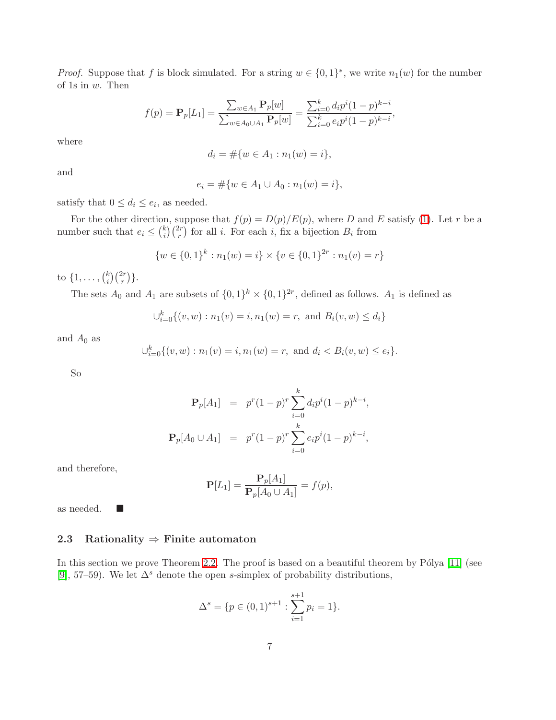*Proof.* Suppose that f is block simulated. For a string  $w \in \{0,1\}^*$ , we write  $n_1(w)$  for the number of 1s in w. Then

$$
f(p) = \mathbf{P}_p[L_1] = \frac{\sum_{w \in A_1} \mathbf{P}_p[w]}{\sum_{w \in A_0 \cup A_1} \mathbf{P}_p[w]} = \frac{\sum_{i=0}^k d_i p^i (1-p)^{k-i}}{\sum_{i=0}^k e_i p^i (1-p)^{k-i}},
$$

where

$$
d_i = \# \{ w \in A_1 : n_1(w) = i \},
$$

and

$$
e_i = \#\{w \in A_1 \cup A_0 : n_1(w) = i\},\
$$

satisfy that  $0 \leq d_i \leq e_i$ , as needed.

For the other direction, suppose that  $f(p) = D(p)/E(p)$ , where D and E satisfy [\(1\)](#page-5-0). Let r be a number such that  $e_i \leq {k \choose i}$  $\binom{k}{i}\binom{2r}{r}$  for all *i*. For each *i*, fix a bijection  $B_i$  from

$$
\{w \in \{0,1\}^k : n_1(w) = i\} \times \{v \in \{0,1\}^{2r} : n_1(v) = r\}
$$

to  $\{1, \ldots, \binom{k}{i}$  $\binom{k}{i}\binom{2r}{r}$ .

The sets  $A_0$  and  $A_1$  are subsets of  $\{0,1\}^k \times \{0,1\}^{2r}$ , defined as follows.  $A_1$  is defined as

$$
\bigcup_{i=0}^{k} \{(v, w) : n_1(v) = i, n_1(w) = r, \text{ and } B_i(v, w) \le d_i\}
$$

and  $A_0$  as

$$
\bigcup_{i=0}^{k} \{(v, w) : n_1(v) = i, n_1(w) = r, \text{ and } d_i < B_i(v, w) \le e_i\}.
$$

So

$$
\mathbf{P}_p[A_1] = p^r (1-p)^r \sum_{i=0}^k d_i p^i (1-p)^{k-i},
$$
  

$$
\mathbf{P}_p[A_0 \cup A_1] = p^r (1-p)^r \sum_{i=0}^k e_i p^i (1-p)^{k-i},
$$

and therefore,

$$
\mathbf{P}[L_1] = \frac{\mathbf{P}_p[A_1]}{\mathbf{P}_p[A_0 \cup A_1]} = f(p),
$$

as needed.

### 2.3 Rationality  $\Rightarrow$  Finite automaton

<span id="page-6-0"></span>In this section we prove Theorem [2.2.](#page-4-0) The proof is based on a beautiful theorem by  $P'$ olya [\[11\]](#page-14-9) (see [\[9\]](#page-14-10), 57–59). We let  $\Delta^s$  denote the open s-simplex of probability distributions,

$$
\Delta^s = \{ p \in (0,1)^{s+1} : \sum_{i=1}^{s+1} p_i = 1 \}.
$$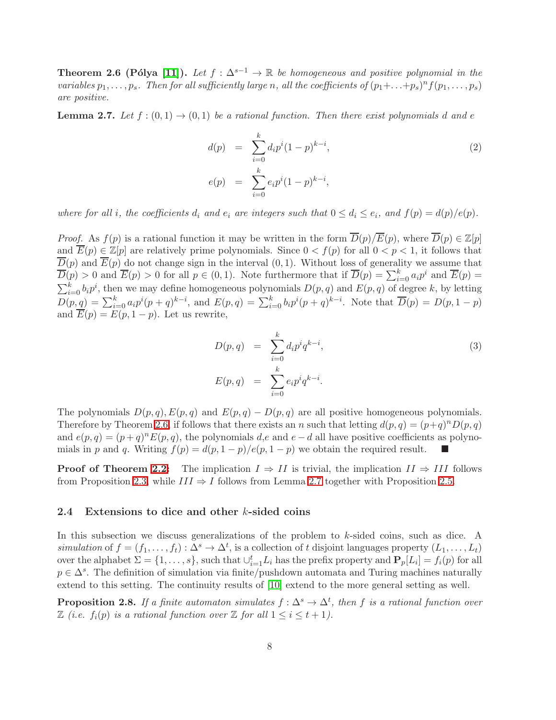**Theorem 2.6 (Pólya [\[11\]](#page-14-9)).** Let  $f : \Delta^{s-1} \to \mathbb{R}$  be homogeneous and positive polynomial in the variables  $p_1, \ldots, p_s$ . Then for all sufficiently large n, all the coefficients of  $(p_1 + \ldots + p_s)^n f(p_1, \ldots, p_s)$ are positive.

<span id="page-7-0"></span>**Lemma 2.7.** Let  $f:(0,1) \rightarrow (0,1)$  be a rational function. Then there exist polynomials d and e

$$
d(p) = \sum_{i=0}^{k} d_i p^i (1-p)^{k-i},
$$
  
\n
$$
e(p) = \sum_{i=0}^{k} e_i p^i (1-p)^{k-i},
$$
\n(2)

where for all *i*, the coefficients  $d_i$  and  $e_i$  are integers such that  $0 \leq d_i \leq e_i$ , and  $f(p) = d(p)/e(p)$ .

*Proof.* As  $f(p)$  is a rational function it may be written in the form  $\overline{D}(p)/\overline{E}(p)$ , where  $\overline{D}(p) \in \mathbb{Z}[p]$ and  $\overline{E}(p) \in \mathbb{Z}[p]$  are relatively prime polynomials. Since  $0 < f(p)$  for all  $0 < p < 1$ , it follows that  $\overline{D}(p)$  and  $\overline{E}(p)$  do not change sign in the interval  $(0, 1)$ . Without loss of generality we assume that  $\overline{D}(p) > 0$  and  $\overline{E}(p) > 0$  for all  $p \in (0,1)$ . Note furthermore that if  $\overline{D}(p) = \sum_{i=0}^{k} a_i p^i$  and  $\overline{E}(p) =$  $\sum_{i=0}^{k} b_i p^i$ , then we may define homogeneous polynomials  $D(p,q)$  and  $E(p,q)$  of degree k, by letting  $D(p,q) = \sum_{i=0}^{k} a_i p^i (p+q)^{k-i}$ , and  $E(p,q) = \sum_{i=0}^{k} b_i p^i (p+q)^{k-i}$ . Note that  $\overline{D}(p) = D(p, 1-p)$ and  $\overline{E}(p) = E(p, 1-p)$ . Let us rewrite,

$$
D(p,q) = \sum_{i=0}^{k} d_i p^i q^{k-i},
$$
  
\n
$$
E(p,q) = \sum_{i=0}^{k} e_i p^i q^{k-i}.
$$
\n(3)

The polynomials  $D(p,q), E(p,q)$  and  $E(p,q) - D(p,q)$  are all positive homogeneous polynomials. Therefore by Theorem [2.6,](#page-6-0) if follows that there exists an n such that letting  $d(p, q) = (p+q)^n D(p, q)$ and  $e(p,q) = (p+q)^n E(p,q)$ , the polynomials d,e and  $e-d$  all have positive coefficients as polynomials in p and q. Writing  $f(p) = d(p, 1-p)/e(p, 1-p)$  we obtain the required result.

**Proof of Theorem [2.2:](#page-4-0)** The implication  $I \Rightarrow II$  is trivial, the implication  $II \Rightarrow III$  follows from Proposition [2.3,](#page-4-2) while  $III \Rightarrow I$  follows from Lemma [2.7](#page-7-0) together with Proposition [2.5.](#page-5-1)

### 2.4 Extensions to dice and other  $k$ -sided coins

In this subsection we discuss generalizations of the problem to k-sided coins, such as dice. A simulation of  $f = (f_1, \ldots, f_t) : \Delta^s \to \Delta^t$ , is a collection of t disjoint languages property  $(L_1, \ldots, L_t)$ over the alphabet  $\Sigma = \{1, \ldots, s\}$ , such that  $\cup_{i=1}^t L_i$  has the prefix property and  $\mathbf{P}_p[L_i] = f_i(p)$  for all  $p \in \Delta^s$ . The definition of simulation via finite/pushdown automata and Turing machines naturally extend to this setting. The continuity results of [\[10\]](#page-14-1) extend to the more general setting as well.

**Proposition 2.8.** If a finite automaton simulates  $f: \Delta^s \to \Delta^t$ , then f is a rational function over  $\mathbb Z$  (i.e.  $f_i(p)$  is a rational function over  $\mathbb Z$  for all  $1 \leq i \leq t+1$ ).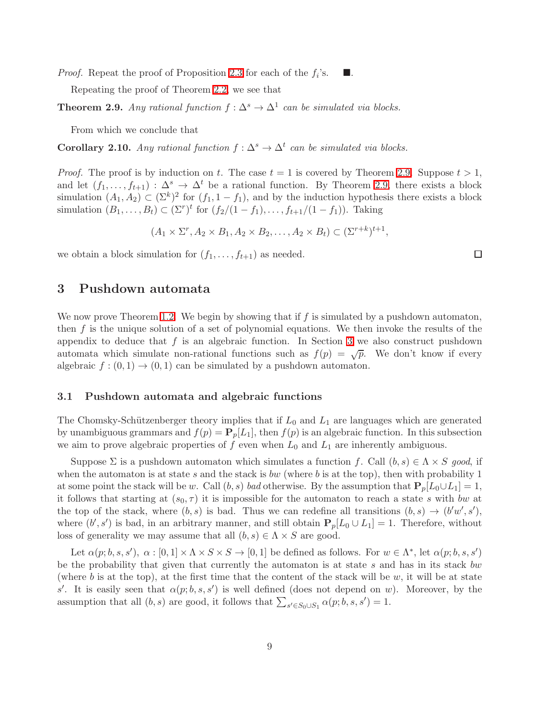<span id="page-8-2"></span>*Proof.* Repeat the proof of Proposition [2.3](#page-4-2) for each of the  $f_i$ 's.  $\blacksquare$  .

Repeating the proof of Theorem [2.2,](#page-4-0) we see that

**Theorem 2.9.** Any rational function  $f : \Delta^s \to \Delta^1$  can be simulated via blocks.

From which we conclude that

**Corollary 2.10.** Any rational function  $f : \Delta^s \to \Delta^t$  can be simulated via blocks.

*Proof.* The proof is by induction on t. The case  $t = 1$  is covered by Theorem [2.9.](#page-8-2) Suppose  $t > 1$ , and let  $(f_1, \ldots, f_{t+1}) : \Delta^s \to \Delta^t$  be a rational function. By Theorem [2.9,](#page-8-2) there exists a block simulation  $(A_1, A_2) \subset (\Sigma^k)^2$  for  $(f_1, 1 - f_1)$ , and by the induction hypothesis there exists a block simulation  $(B_1, ..., B_t) \subset (\Sigma^r)^t$  for  $(f_2/(1 - f_1), ..., f_{t+1}/(1 - f_1))$ . Taking

$$
(A_1 \times \Sigma^r, A_2 \times B_1, A_2 \times B_2, \dots, A_2 \times B_t) \subset (\Sigma^{r+k})^{t+1},
$$

<span id="page-8-0"></span>we obtain a block simulation for  $(f_1, \ldots, f_{t+1})$  as needed.

### 3 Pushdown automata

We now prove Theorem [1.2.](#page-1-0) We begin by showing that if f is simulated by a pushdown automaton, then  $f$  is the unique solution of a set of polynomial equations. We then invoke the results of the appendix to deduce that  $f$  is an algebraic function. In Section [3](#page-8-0) we also construct pushdown automata which simulate non-rational functions such as  $f(p) = \sqrt{p}$ . We don't know if every algebraic  $f:(0,1) \rightarrow (0,1)$  can be simulated by a pushdown automaton.

#### <span id="page-8-1"></span>3.1 Pushdown automata and algebraic functions

The Chomsky-Schützenberger theory implies that if  $L_0$  and  $L_1$  are languages which are generated by unambiguous grammars and  $f(p) = \mathbf{P}_p[L_1]$ , then  $f(p)$  is an algebraic function. In this subsection we aim to prove algebraic properties of f even when  $L_0$  and  $L_1$  are inherently ambiguous.

Suppose  $\Sigma$  is a pushdown automaton which simulates a function f. Call  $(b, s) \in \Lambda \times S$  good, if when the automaton is at state s and the stack is bw (where b is at the top), then with probability 1 at some point the stack will be w. Call  $(b, s)$  bad otherwise. By the assumption that  $P_p[L_0 \cup L_1] = 1$ , it follows that starting at  $(s_0, \tau)$  it is impossible for the automaton to reach a state s with bw at the top of the stack, where  $(b, s)$  is bad. Thus we can redefine all transitions  $(b, s) \rightarrow (b'w', s')$ , where  $(b', s')$  is bad, in an arbitrary manner, and still obtain  $P_p[L_0 \cup L_1] = 1$ . Therefore, without loss of generality we may assume that all  $(b, s) \in \Lambda \times S$  are good.

Let  $\alpha(p;b,s,s'), \alpha: [0,1] \times \Lambda \times S \times S \to [0,1]$  be defined as follows. For  $w \in \Lambda^*$ , let  $\alpha(p;b,s,s')$ be the probability that given that currently the automaton is at state  $s$  and has in its stack bw (where b is at the top), at the first time that the content of the stack will be w, it will be at state s'. It is easily seen that  $\alpha(p;b,s,s')$  is well defined (does not depend on w). Moreover, by the assumption that all  $(b, s)$  are good, it follows that  $\sum_{s' \in S_0 \cup S_1} \alpha(p; b, s, s') = 1$ .

 $\Box$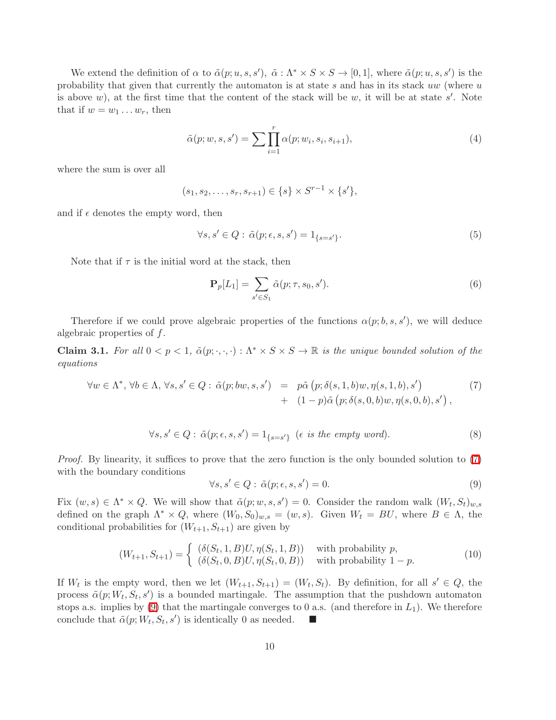<span id="page-9-3"></span>We extend the definition of  $\alpha$  to  $\tilde{\alpha}(p; u, s, s')$ ,  $\tilde{\alpha}: \Lambda^* \times S \times S \to [0, 1]$ , where  $\tilde{\alpha}(p; u, s, s')$  is the probability that given that currently the automaton is at state s and has in its stack  $uw$  (where  $u$ is above  $w$ ), at the first time that the content of the stack will be  $w$ , it will be at state  $s'$ . Note that if  $w = w_1 \dots w_r$ , then

$$
\tilde{\alpha}(p; w, s, s') = \sum \prod_{i=1}^{r} \alpha(p; w_i, s_i, s_{i+1}),\tag{4}
$$

where the sum is over all

<span id="page-9-4"></span>
$$
(s_1, s_2, \ldots, s_r, s_{r+1}) \in \{s\} \times S^{r-1} \times \{s'\},\
$$

and if  $\epsilon$  denotes the empty word, then

$$
\forall s, s' \in Q : \tilde{\alpha}(p; \epsilon, s, s') = 1_{\{s = s'\}}.
$$
\n
$$
(5)
$$

Note that if  $\tau$  is the initial word at the stack, then

$$
\mathbf{P}_p[L_1] = \sum_{s' \in S_1} \tilde{\alpha}(p; \tau, s_0, s'). \tag{6}
$$

Therefore if we could prove algebraic properties of the functions  $\alpha(p;b,s,s')$ , we will deduce algebraic properties of f.

<span id="page-9-0"></span>**Claim 3.1.** For all  $0 < p < 1$ ,  $\tilde{\alpha}(p; \cdot, \cdot, \cdot) : \Lambda^* \times S \times S \to \mathbb{R}$  is the unique bounded solution of the equations

$$
\forall w \in \Lambda^*, \forall b \in \Lambda, \forall s, s' \in Q: \tilde{\alpha}(p; bw, s, s') = p\tilde{\alpha}(p; \delta(s, 1, b)w, \eta(s, 1, b), s') + (1 - p)\tilde{\alpha}(p; \delta(s, 0, b)w, \eta(s, 0, b), s') ,
$$
\n
$$
(7)
$$

<span id="page-9-1"></span>
$$
\forall s, s' \in Q : \tilde{\alpha}(p; \epsilon, s, s') = 1_{\{s = s'\}} \ (\epsilon \ \text{is the empty word}). \tag{8}
$$

<span id="page-9-2"></span>Proof. By linearity, it suffices to prove that the zero function is the only bounded solution to [\(7\)](#page-9-0) with the boundary conditions

$$
\forall s, s' \in Q : \tilde{\alpha}(p; \epsilon, s, s') = 0.
$$
\n(9)

Fix  $(w, s) \in \Lambda^* \times Q$ . We will show that  $\tilde{\alpha}(p; w, s, s') = 0$ . Consider the random walk  $(W_t, S_t)_{w,s}$ defined on the graph  $\Lambda^* \times Q$ , where  $(W_0, S_0)_{w,s} = (w, s)$ . Given  $W_t = BU$ , where  $B \in \Lambda$ , the conditional probabilities for  $(W_{t+1}, S_{t+1})$  are given by

$$
(W_{t+1}, S_{t+1}) = \begin{cases} (\delta(S_t, 1, B)U, \eta(S_t, 1, B)) & \text{with probability } p, \\ (\delta(S_t, 0, B)U, \eta(S_t, 0, B)) & \text{with probability } 1 - p. \end{cases}
$$
(10)

If  $W_t$  is the empty word, then we let  $(W_{t+1}, S_{t+1}) = (W_t, S_t)$ . By definition, for all  $s' \in Q$ , the process  $\tilde{\alpha}(p;W_t, S_t, s')$  is a bounded martingale. The assumption that the pushdown automaton stops a.s. implies by  $(9)$  that the martingale converges to 0 a.s. (and therefore in  $L_1$ ). We therefore conclude that  $\tilde{\alpha}(p;W_t,S_t,s')$  is identically 0 as needed.  $\blacksquare$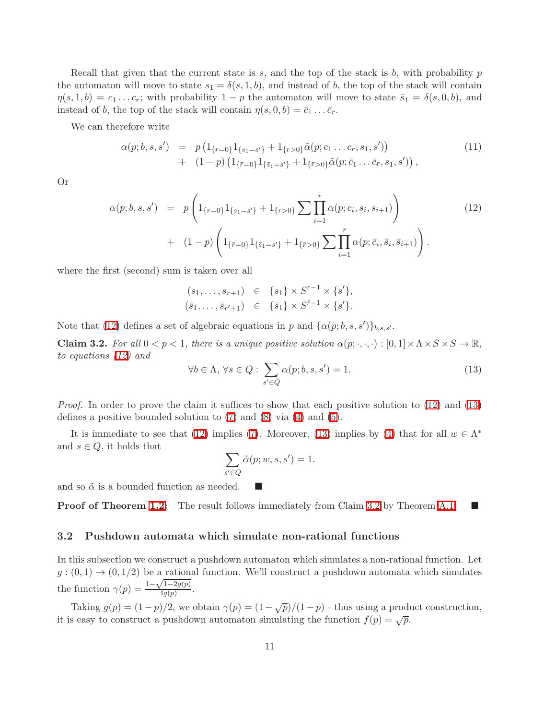Recall that given that the current state is s, and the top of the stack is b, with probability  $p$ the automaton will move to state  $s_1 = \delta(s, 1, b)$ , and instead of b, the top of the stack will contain  $\eta(s,1,b) = c_1 \dots c_r$ ; with probability  $1 - p$  the automaton will move to state  $\bar{s}_1 = \delta(s,0,b)$ , and instead of b, the top of the stack will contain  $\eta(s, 0, b) = \bar{c}_1 \dots \bar{c}_{\bar{r}}$ .

We can therefore write

$$
\alpha(p;b,s,s') = p\left(1_{\{r=0\}}1_{\{s_1=s'\}} + 1_{\{r>0\}}\tilde{\alpha}(p;c_1 \ldots c_r, s_1, s')\right) \n+ (1-p)\left(1_{\{\bar{r}=0\}}1_{\{\bar{s}_1=s'\}} + 1_{\{\bar{r}>0\}}\tilde{\alpha}(p;\bar{c}_1 \ldots \bar{c}_{\bar{r}}, s_1, s')\right),
$$
\n(11)

<span id="page-10-0"></span>Or

$$
\alpha(p;b,s,s') = p\left(1_{\{r=0\}}1_{\{s_1=s'\}}+1_{\{r>0\}}\sum_{i=1}^r \alpha(p;c_i,s_i,s_{i+1})\right) + (1-p)\left(1_{\{\bar{r}=0\}}1_{\{\bar{s}_1=s'\}}+1_{\{\bar{r}>0\}}\sum_{i=1}^{\bar{r}} \alpha(p;\bar{c}_i,\bar{s}_i,\bar{s}_{i+1})\right).
$$
\n(12)

where the first (second) sum is taken over all

$$
(s_1, ..., s_{r+1}) \in \{s_1\} \times S^{r-1} \times \{s'\},
$$
  
 $(\bar{s}_1, ..., \bar{s}_{r'+1}) \in \{\bar{s}_1\} \times S^{\bar{r}-1} \times \{s'\}.$ 

<span id="page-10-2"></span>Note that [\(12\)](#page-10-0) defines a set of algebraic equations in p and  $\{\alpha(p;b,s,s')\}_{b,s,s'}$ .

<span id="page-10-1"></span>**Claim 3.2.** For all  $0 < p < 1$ , there is a unique positive solution  $\alpha(p; \cdot, \cdot, \cdot) : [0, 1] \times \Lambda \times S \times S \to \mathbb{R}$ , to equations [\(12\)](#page-10-0) and

$$
\forall b \in \Lambda, \,\forall s \in Q: \sum_{s' \in Q} \alpha(p;b,s,s') = 1. \tag{13}
$$

Proof. In order to prove the claim it suffices to show that each positive solution to [\(12\)](#page-10-0) and [\(13\)](#page-10-1) defines a positive bounded solution to [\(7\)](#page-9-0) and [\(8\)](#page-9-2) via [\(4\)](#page-9-3) and [\(5\)](#page-9-4).

It is immediate to see that [\(12\)](#page-10-0) implies [\(7\)](#page-9-0). Moreover, [\(13\)](#page-10-1) implies by [\(4\)](#page-9-3) that for all  $w \in \Lambda^*$ and  $s \in Q$ , it holds that

$$
\sum_{s' \in Q} \tilde{\alpha}(p; w, s, s') = 1.
$$

and so  $\tilde{\alpha}$  is a bounded function as needed.

<span id="page-10-3"></span>**Proof of Theorem [1.2:](#page-1-0)** The result follows immediately from Claim [3.2](#page-10-2) by Theorem [A.1.](#page-15-0)

#### 3.2 Pushdown automata which simulate non-rational functions

In this subsection we construct a pushdown automaton which simulates a non-rational function. Let  $g:(0,1) \rightarrow (0,1/2)$  be a rational function. We'll construct a pushdown automata which simulates the function  $\gamma(p) = \frac{1-\sqrt{1-2g(p)}}{4g(p)}$  $\frac{1-2g(p)}{4g(p)}$ .

Taking  $g(p) = (1-p)/2$ , we obtain  $\gamma(p) = (1-\sqrt{p})/(1-p)$  - thus using a product construction, it is easy to construct a pushdown automaton simulating the function  $f(p) = \sqrt{p}$ .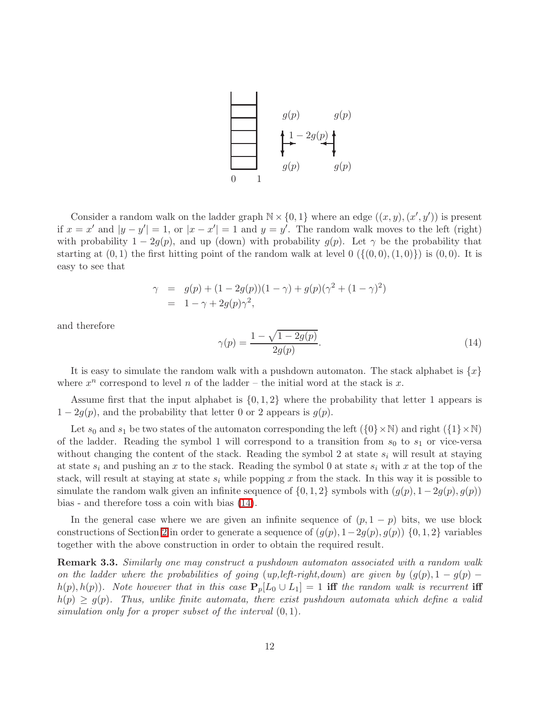

Consider a random walk on the ladder graph  $\mathbb{N} \times \{0, 1\}$  where an edge  $((x, y), (x', y'))$  is present if  $x = x'$  and  $|y - y'| = 1$ , or  $|x - x'| = 1$  and  $y = y'$ . The random walk moves to the left (right) with probability  $1 - 2g(p)$ , and up (down) with probability  $g(p)$ . Let  $\gamma$  be the probability that starting at  $(0, 1)$  the first hitting point of the random walk at level  $0 \left( \{ (0, 0), (1, 0) \} \right)$  is  $(0, 0)$ . It is easy to see that

$$
\gamma = g(p) + (1 - 2g(p))(1 - \gamma) + g(p)(\gamma^{2} + (1 - \gamma)^{2})
$$
  
= 1 - \gamma + 2g(p)\gamma^{2},

<span id="page-11-0"></span>and therefore

$$
\gamma(p) = \frac{1 - \sqrt{1 - 2g(p)}}{2g(p)}.\tag{14}
$$

It is easy to simulate the random walk with a pushdown automaton. The stack alphabet is  $\{x\}$ where  $x^n$  correspond to level n of the ladder – the initial word at the stack is x.

Assume first that the input alphabet is  $\{0, 1, 2\}$  where the probability that letter 1 appears is  $1 - 2g(p)$ , and the probability that letter 0 or 2 appears is  $g(p)$ .

Let  $s_0$  and  $s_1$  be two states of the automaton corresponding the left  $({0} \times \mathbb{N})$  and right  $({1} \times \mathbb{N})$ of the ladder. Reading the symbol 1 will correspond to a transition from  $s_0$  to  $s_1$  or vice-versa without changing the content of the stack. Reading the symbol 2 at state  $s_i$  will result at staying at state  $s_i$  and pushing an x to the stack. Reading the symbol 0 at state  $s_i$  with x at the top of the stack, will result at staying at state  $s_i$  while popping x from the stack. In this way it is possible to simulate the random walk given an infinite sequence of  $\{0, 1, 2\}$  symbols with  $(q(p), 1-2q(p), q(p))$ bias - and therefore toss a coin with bias [\(14\)](#page-11-0).

In the general case where we are given an infinite sequence of  $(p, 1 - p)$  bits, we use block constructions of Section [2](#page-4-1) in order to generate a sequence of  $(q(p), 1-2q(p), q(p))$  {0,1,2} variables together with the above construction in order to obtain the required result.

Remark 3.3. Similarly one may construct a pushdown automaton associated with a random walk on the ladder where the probabilities of going (up, left-right, down) are given by  $(g(p), 1 - g(p)$  $h(p), h(p)$ . Note however that in this case  $P_p[L_0 \cup L_1] = 1$  iff the random walk is recurrent iff  $h(p) \ge g(p)$ . Thus, unlike finite automata, there exist pushdown automata which define a valid simulation only for a proper subset of the interval  $(0, 1)$ .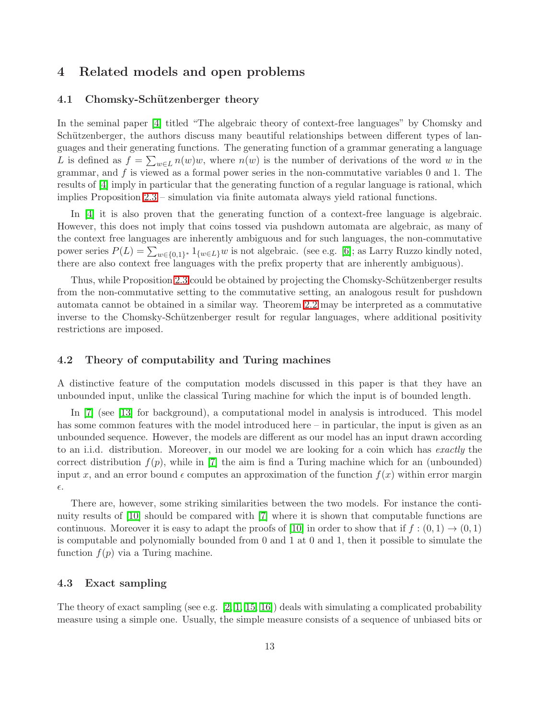# <span id="page-12-3"></span><span id="page-12-0"></span>4 Related models and open problems

### 4.1 Chomsky-Schützenberger theory

In the seminal paper [\[4\]](#page-14-4) titled "The algebraic theory of context-free languages" by Chomsky and Schützenberger, the authors discuss many beautiful relationships between different types of languages and their generating functions. The generating function of a grammar generating a language L is defined as  $f = \sum_{w \in L} n(w)w$ , where  $n(w)$  is the number of derivations of the word w in the grammar, and  $f$  is viewed as a formal power series in the non-commutative variables 0 and 1. The results of [\[4\]](#page-14-4) imply in particular that the generating function of a regular language is rational, which implies Proposition [2.3](#page-4-2) – simulation via finite automata always yield rational functions.

In [\[4\]](#page-14-4) it is also proven that the generating function of a context-free language is algebraic. However, this does not imply that coins tossed via pushdown automata are algebraic, as many of the context free languages are inherently ambiguous and for such languages, the non-commutative power series  $P(L) = \sum_{w \in \{0,1\}^*} 1_{\{w \in L\}} w$  is not algebraic. (see e.g. [\[6\]](#page-14-3); as Larry Ruzzo kindly noted, there are also context free languages with the prefix property that are inherently ambiguous).

Thus, while Proposition [2.3](#page-4-2) could be obtained by projecting the Chomsky-Schützenberger results from the non-commutative setting to the commutative setting, an analogous result for pushdown automata cannot be obtained in a similar way. Theorem [2.2](#page-4-0) may be interpreted as a commutative inverse to the Chomsky-Schützenberger result for regular languages, where additional positivity restrictions are imposed.

### <span id="page-12-1"></span>4.2 Theory of computability and Turing machines

A distinctive feature of the computation models discussed in this paper is that they have an unbounded input, unlike the classical Turing machine for which the input is of bounded length.

In [\[7\]](#page-14-5) (see [\[13\]](#page-14-6) for background), a computational model in analysis is introduced. This model has some common features with the model introduced here – in particular, the input is given as an unbounded sequence. However, the models are different as our model has an input drawn according to an i.i.d. distribution. Moreover, in our model we are looking for a coin which has exactly the correct distribution  $f(p)$ , while in [\[7\]](#page-14-5) the aim is find a Turing machine which for an (unbounded) input x, and an error bound  $\epsilon$  computes an approximation of the function  $f(x)$  within error margin  $\epsilon$ .

There are, however, some striking similarities between the two models. For instance the continuity results of [\[10\]](#page-14-1) should be compared with [\[7\]](#page-14-5) where it is shown that computable functions are continuous. Moreover it is easy to adapt the proofs of [\[10\]](#page-14-1) in order to show that if  $f : (0,1) \to (0,1)$ is computable and polynomially bounded from 0 and 1 at 0 and 1, then it possible to simulate the function  $f(p)$  via a Turing machine.

### <span id="page-12-2"></span>4.3 Exact sampling

The theory of exact sampling (see e.g.  $[2, 1, 15, 16]$  $[2, 1, 15, 16]$  $[2, 1, 15, 16]$  $[2, 1, 15, 16]$ ) deals with simulating a complicated probability measure using a simple one. Usually, the simple measure consists of a sequence of unbiased bits or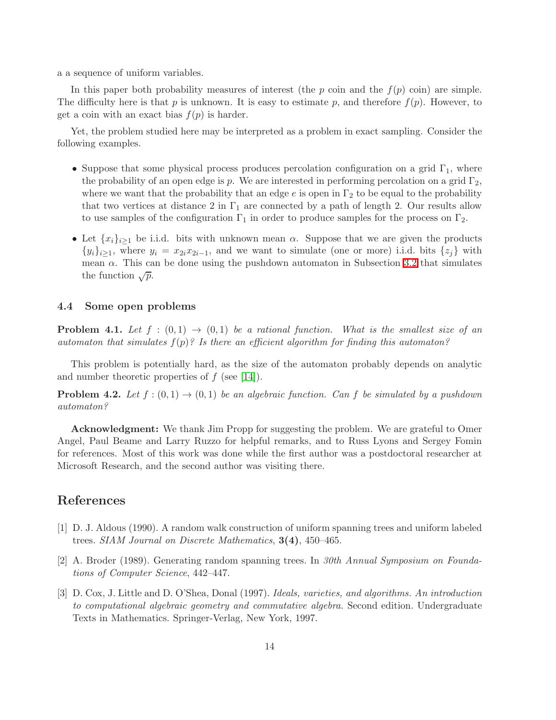a a sequence of uniform variables.

In this paper both probability measures of interest (the p coin and the  $f(p)$  coin) are simple. The difficulty here is that p is unknown. It is easy to estimate p, and therefore  $f(p)$ . However, to get a coin with an exact bias  $f(p)$  is harder.

Yet, the problem studied here may be interpreted as a problem in exact sampling. Consider the following examples.

- Suppose that some physical process produces percolation configuration on a grid  $\Gamma_1$ , where the probability of an open edge is p. We are interested in performing percolation on a grid  $\Gamma_2$ , where we want that the probability that an edge e is open in  $\Gamma_2$  to be equal to the probability that two vertices at distance 2 in  $\Gamma_1$  are connected by a path of length 2. Our results allow to use samples of the configuration  $\Gamma_1$  in order to produce samples for the process on  $\Gamma_2$ .
- Let  ${x_i}_{i\geq 1}$  be i.i.d. bits with unknown mean  $\alpha$ . Suppose that we are given the products  $\{y_i\}_{i\geq 1}$ , where  $y_i = x_{2i}x_{2i-1}$ , and we want to simulate (one or more) i.i.d. bits  $\{z_j\}$  with mean  $\alpha$ . This can be done using the pushdown automaton in Subsection [3.2](#page-10-3) that simulates the function  $\sqrt{p}$ .

### 4.4 Some open problems

**Problem 4.1.** Let  $f : (0,1) \rightarrow (0,1)$  be a rational function. What is the smallest size of an automaton that simulates  $f(p)$ ? Is there an efficient algorithm for finding this automaton?

This problem is potentially hard, as the size of the automaton probably depends on analytic and number theoretic properties of  $f$  (see [\[14\]](#page-14-11)).

**Problem 4.2.** Let  $f:(0,1) \rightarrow (0,1)$  be an algebraic function. Can f be simulated by a pushdown automaton?

Acknowledgment: We thank Jim Propp for suggesting the problem. We are grateful to Omer Angel, Paul Beame and Larry Ruzzo for helpful remarks, and to Russ Lyons and Sergey Fomin for references. Most of this work was done while the first author was a postdoctoral researcher at Microsoft Research, and the second author was visiting there.

# <span id="page-13-1"></span>References

- [1] D. J. Aldous (1990). A random walk construction of uniform spanning trees and uniform labeled trees. SIAM Journal on Discrete Mathematics, 3(4), 450–465.
- <span id="page-13-0"></span>[2] A. Broder (1989). Generating random spanning trees. In 30th Annual Symposium on Foundations of Computer Science, 442–447.
- [3] D. Cox, J. Little and D. O'Shea, Donal (1997). Ideals, varieties, and algorithms. An introduction to computational algebraic geometry and commutative algebra. Second edition. Undergraduate Texts in Mathematics. Springer-Verlag, New York, 1997.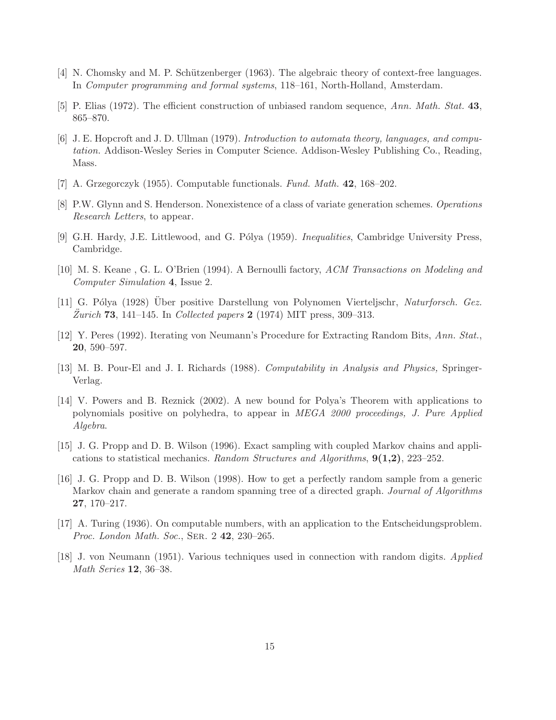- <span id="page-14-4"></span>[4] N. Chomsky and M. P. Schützenberger (1963). The algebraic theory of context-free languages. In Computer programming and formal systems, 118–161, North-Holland, Amsterdam.
- <span id="page-14-3"></span>[5] P. Elias (1972). The efficient construction of unbiased random sequence, Ann. Math. Stat. 43, 865–870.
- [6] J. E. Hopcroft and J. D. Ullman (1979). Introduction to automata theory, languages, and computation. Addison-Wesley Series in Computer Science. Addison-Wesley Publishing Co., Reading, Mass.
- <span id="page-14-5"></span><span id="page-14-2"></span>[7] A. Grzegorczyk (1955). Computable functionals. Fund. Math. 42, 168–202.
- <span id="page-14-10"></span>[8] P.W. Glynn and S. Henderson. Nonexistence of a class of variate generation schemes. Operations Research Letters, to appear.
- <span id="page-14-1"></span>[9] G.H. Hardy, J.E. Littlewood, and G. Pólya (1959). *Inequalities*, Cambridge University Press, Cambridge.
- <span id="page-14-9"></span>[10] M. S. Keane , G. L. O'Brien (1994). A Bernoulli factory, ACM Transactions on Modeling and Computer Simulation 4, Issue 2.
- [11] G. Pólya (1928) Uber positive Darstellung von Polynomen Vierteljschr, Naturforsch. Gez. Zurich **73**, 141–145. In Collected papers 2 (1974) MIT press, 309–313.
- [12] Y. Peres (1992). Iterating von Neumann's Procedure for Extracting Random Bits, Ann. Stat., 20, 590–597.
- <span id="page-14-11"></span><span id="page-14-6"></span>[13] M. B. Pour-El and J. I. Richards (1988). Computability in Analysis and Physics, Springer-Verlag.
- [14] V. Powers and B. Reznick (2002). A new bound for Polya's Theorem with applications to polynomials positive on polyhedra, to appear in MEGA 2000 proceedings, J. Pure Applied Algebra.
- <span id="page-14-7"></span>[15] J. G. Propp and D. B. Wilson (1996). Exact sampling with coupled Markov chains and applications to statistical mechanics. Random Structures and Algorithms,  $9(1,2)$ , 223–252.
- <span id="page-14-8"></span>[16] J. G. Propp and D. B. Wilson (1998). How to get a perfectly random sample from a generic Markov chain and generate a random spanning tree of a directed graph. Journal of Algorithms 27, 170–217.
- <span id="page-14-0"></span>[17] A. Turing (1936). On computable numbers, with an application to the Entscheidungsproblem. Proc. London Math. Soc., SER. 2 42, 230-265.
- [18] J. von Neumann (1951). Various techniques used in connection with random digits. Applied Math Series 12, 36–38.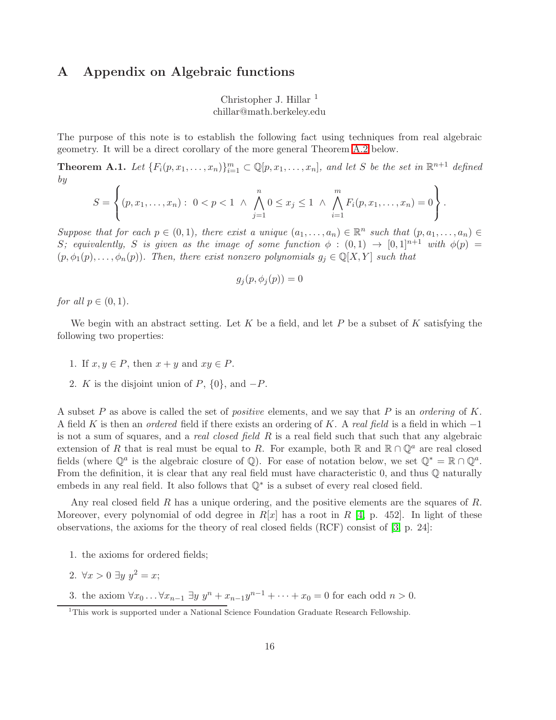## A Appendix on Algebraic functions

Christopher J. Hillar  $<sup>1</sup>$ </sup> chillar@math.berkeley.edu

<span id="page-15-0"></span>The purpose of this note is to establish the following fact using techniques from real algebraic geometry. It will be a direct corollary of the more general Theorem [A.2](#page-16-0) below.

**Theorem A.1.** Let  $\{F_i(p, x_1, \ldots, x_n)\}_{i=1}^m \subset \mathbb{Q}[p, x_1, \ldots, x_n]$ , and let S be the set in  $\mathbb{R}^{n+1}$  defined by

$$
S = \left\{ (p, x_1, \ldots, x_n) : 0 < p < 1 \land \bigwedge_{j=1}^n 0 \le x_j \le 1 \land \bigwedge_{i=1}^m F_i(p, x_1, \ldots, x_n) = 0 \right\}.
$$

Suppose that for each  $p \in (0,1)$ , there exist a unique  $(a_1, \ldots, a_n) \in \mathbb{R}^n$  such that  $(p, a_1, \ldots, a_n) \in$ S; equivalently, S is given as the image of some function  $\phi : (0,1) \rightarrow [0,1]^{n+1}$  with  $\phi(p) =$  $(p, \phi_1(p), \ldots, \phi_n(p))$ . Then, there exist nonzero polynomials  $g_j \in \mathbb{Q}[X, Y]$  such that

$$
g_j(p, \phi_j(p)) = 0
$$

for all  $p \in (0,1)$ .

We begin with an abstract setting. Let K be a field, and let P be a subset of K satisfying the following two properties:

- 1. If  $x, y \in P$ , then  $x + y$  and  $xy \in P$ .
- 2. K is the disjoint union of P,  $\{0\}$ , and  $-P$ .

A subset P as above is called the set of *positive* elements, and we say that P is an *ordering* of K. A field K is then an *ordered* field if there exists an ordering of K. A real field is a field in which  $-1$ is not a sum of squares, and a *real closed field R* is a real field such that such that any algebraic extension of R that is real must be equal to R. For example, both R and  $\mathbb{R} \cap \mathbb{Q}^a$  are real closed fields (where  $\mathbb{Q}^a$  is the algebraic closure of  $\mathbb{Q}$ ). For ease of notation below, we set  $\mathbb{Q}^* = \mathbb{R} \cap \mathbb{Q}^a$ . From the definition, it is clear that any real field must have characteristic  $0$ , and thus  $\mathbb Q$  naturally embeds in any real field. It also follows that  $\mathbb{Q}^*$  is a subset of every real closed field.

Any real closed field R has a unique ordering, and the positive elements are the squares of R. Moreover, every polynomial of odd degree in  $R[x]$  has a root in R [\[4,](#page-18-0) p. 452]. In light of these observations, the axioms for the theory of real closed fields (RCF) consist of [\[3,](#page-18-1) p. 24]:

- 1. the axioms for ordered fields;
- 2.  $\forall x > 0 \ \exists y \ y^2 = x;$
- 3. the axiom ∀ $x_0 \ldots \forall x_{n-1} \exists y \; y^n + x_{n-1}y^{n-1} + \cdots + x_0 = 0$  for each odd  $n > 0$ .

<sup>&</sup>lt;sup>1</sup>This work is supported under a National Science Foundation Graduate Research Fellowship.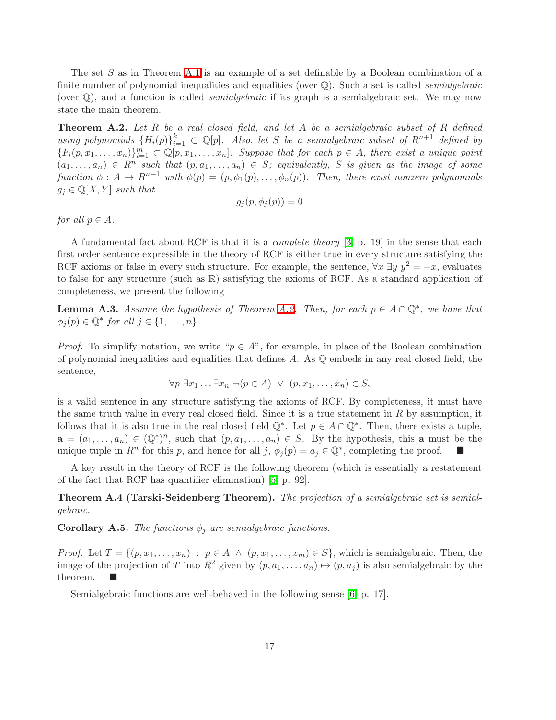The set S as in Theorem [A.1](#page-15-0) is an example of a set definable by a Boolean combination of a finite number of polynomial inequalities and equalities (over  $\mathbb{Q}$ ). Such a set is called *semialgebraic* (over  $\mathbb{Q}$ ), and a function is called *semialgebraic* if its graph is a semialgebraic set. We may now state the main theorem.

<span id="page-16-0"></span>Theorem A.2. Let R be a real closed field, and let A be a semialgebraic subset of R defined using polynomials  ${H_i(p)}_{i=1}^k \subset \mathbb{Q}[p]$ . Also, let S be a semialgebraic subset of  $R^{n+1}$  defined by  ${F_i(p, x_1, \ldots, x_n)}_{i=1}^m \subset \mathbb{Q}[p, x_1, \ldots, x_n]$ . Suppose that for each  $p \in A$ , there exist a unique point  $(a_1, \ldots, a_n) \in R^n$  such that  $(p, a_1, \ldots, a_n) \in S$ ; equivalently, S is given as the image of some function  $\phi: A \to R^{n+1}$  with  $\phi(p) = (p, \phi_1(p), \ldots, \phi_n(p))$ . Then, there exist nonzero polynomials  $g_j \in \mathbb{Q}[X, Y]$  such that

$$
g_j(p, \phi_j(p)) = 0
$$

for all  $p \in A$ .

A fundamental fact about RCF is that it is a *complete theory* [\[3,](#page-18-1) p. 19] in the sense that each first order sentence expressible in the theory of RCF is either true in every structure satisfying the RCF axioms or false in every such structure. For example, the sentence,  $\forall x \exists y \; y^2 = -x$ , evaluates to false for any structure (such as R) satisfying the axioms of RCF. As a standard application of completeness, we present the following

<span id="page-16-3"></span>**Lemma A.3.** Assume the hypothesis of Theorem [A.2.](#page-16-0) Then, for each  $p \in A \cap \mathbb{Q}^*$ , we have that  $\phi_j(p) \in \mathbb{Q}^*$  for all  $j \in \{1, \ldots, n\}.$ 

*Proof.* To simplify notation, we write " $p \in A$ ", for example, in place of the Boolean combination of polynomial inequalities and equalities that defines  $A$ . As  $\mathbb Q$  embeds in any real closed field, the sentence,

$$
\forall p \ \exists x_1 \ldots \exists x_n \ \neg (p \in A) \ \lor \ (p, x_1, \ldots, x_n) \in S,
$$

is a valid sentence in any structure satisfying the axioms of RCF. By completeness, it must have the same truth value in every real closed field. Since it is a true statement in  $R$  by assumption, it follows that it is also true in the real closed field  $\mathbb{Q}^*$ . Let  $p \in A \cap \mathbb{Q}^*$ . Then, there exists a tuple,  $a = (a_1, \ldots, a_n) \in (\mathbb{Q}^*)^n$ , such that  $(p, a_1, \ldots, a_n) \in S$ . By the hypothesis, this a must be the unique tuple in  $R^n$  for this p, and hence for all j,  $\phi_j(p) = a_j \in \mathbb{Q}^*$ , completing the proof.  $\blacksquare$ 

A key result in the theory of RCF is the following theorem (which is essentially a restatement of the fact that RCF has quantifier elimination) [\[5,](#page-18-2) p. 92].

**Theorem A.4 (Tarski-Seidenberg Theorem).** The projection of a semialgebraic set is semialgebraic.

<span id="page-16-2"></span>**Corollary A.5.** The functions  $\phi_j$  are semialgebraic functions.

*Proof.* Let  $T = \{(p, x_1, \ldots, x_n) : p \in A \land (p, x_1, \ldots, x_m) \in S\}$ , which is semialgebraic. Then, the image of the projection of T into  $R^2$  given by  $(p, a_1, \ldots, a_n) \mapsto (p, a_j)$  is also semialgebraic by the theorem.

<span id="page-16-1"></span>Semialgebraic functions are well-behaved in the following sense [\[6,](#page-18-3) p. 17].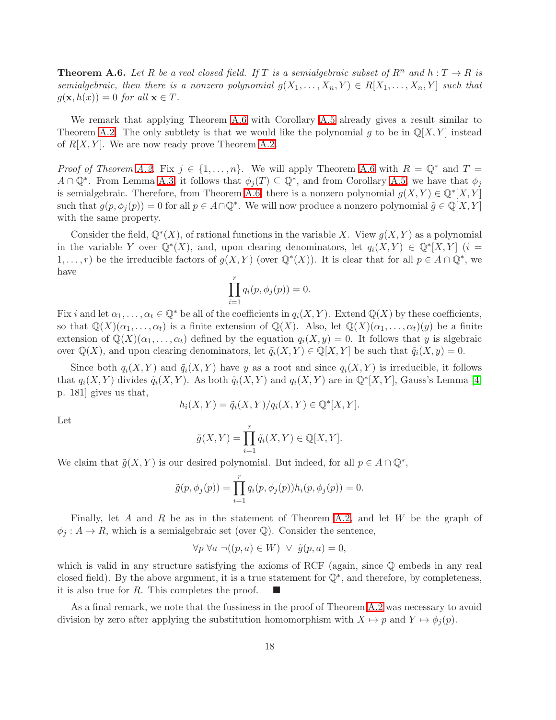**Theorem A.6.** Let R be a real closed field. If T is a semialgebraic subset of  $R^n$  and  $h: T \to R$  is semialgebraic, then there is a nonzero polynomial  $g(X_1, \ldots, X_n, Y) \in R[X_1, \ldots, X_n, Y]$  such that  $g(\mathbf{x}, h(x)) = 0$  for all  $\mathbf{x} \in T$ .

We remark that applying Theorem [A.6](#page-16-1) with Corollary [A.5](#page-16-2) already gives a result similar to Theorem [A.2.](#page-16-0) The only subtlety is that we would like the polynomial g to be in  $\mathbb{Q}[X, Y]$  instead of  $R[X, Y]$ . We are now ready prove Theorem [A.2.](#page-16-0)

*Proof of Theorem [A.2.](#page-16-0)* Fix  $j \in \{1, ..., n\}$ . We will apply Theorem [A.6](#page-16-1) with  $R = \mathbb{Q}^*$  and  $T =$  $A \cap \mathbb{Q}^*$ . From Lemma [A.3,](#page-16-3) it follows that  $\phi_j(T) \subseteq \mathbb{Q}^*$ , and from Corollary [A.5,](#page-16-2) we have that  $\phi_j$ is semialgebraic. Therefore, from Theorem [A.6,](#page-16-1) there is a nonzero polynomial  $g(X,Y) \in \mathbb{Q}^*[X,Y]$ such that  $g(p, \phi_j(p)) = 0$  for all  $p \in A \cap \mathbb{Q}^*$ . We will now produce a nonzero polynomial  $\tilde{g} \in \mathbb{Q}[X, Y]$ with the same property.

Consider the field,  $\mathbb{Q}^*(X)$ , of rational functions in the variable X. View  $g(X,Y)$  as a polynomial in the variable Y over  $\mathbb{Q}^*(X)$ , and, upon clearing denominators, let  $q_i(X,Y) \in \mathbb{Q}^*[X,Y]$  (i = 1,...,r) be the irreducible factors of  $g(X,Y)$  (over  $\mathbb{Q}^*(X)$ ). It is clear that for all  $p \in A \cap \mathbb{Q}^*$ , we have

$$
\prod_{i=1}^r q_i(p, \phi_j(p)) = 0.
$$

Fix i and let  $\alpha_1, \ldots, \alpha_t \in \mathbb{Q}^*$  be all of the coefficients in  $q_i(X, Y)$ . Extend  $\mathbb{Q}(X)$  by these coefficients, so that  $\mathbb{Q}(X)(\alpha_1,\ldots,\alpha_t)$  is a finite extension of  $\mathbb{Q}(X)$ . Also, let  $\mathbb{Q}(X)(\alpha_1,\ldots,\alpha_t)(y)$  be a finite extension of  $\mathbb{Q}(X)(\alpha_1, \ldots, \alpha_t)$  defined by the equation  $q_i(X, y) = 0$ . It follows that y is algebraic over  $\mathbb{Q}(X)$ , and upon clearing denominators, let  $\tilde{q}_i(X, Y) \in \mathbb{Q}[X, Y]$  be such that  $\tilde{q}_i(X, y) = 0$ .

Since both  $q_i(X, Y)$  and  $\tilde{q}_i(X, Y)$  have y as a root and since  $q_i(X, Y)$  is irreducible, it follows that  $q_i(X, Y)$  divides  $\tilde{q}_i(X, Y)$ . As both  $\tilde{q}_i(X, Y)$  and  $q_i(X, Y)$  are in  $\mathbb{Q}^*[X, Y]$ , Gauss's Lemma [\[4,](#page-18-0) p. 181] gives us that,

$$
h_i(X,Y) = \tilde{q}_i(X,Y)/q_i(X,Y) \in \mathbb{Q}^*[X,Y].
$$

Let

$$
\tilde{g}(X,Y) = \prod_{i=1}^r \tilde{q}_i(X,Y) \in \mathbb{Q}[X,Y].
$$

We claim that  $\tilde{g}(X, Y)$  is our desired polynomial. But indeed, for all  $p \in A \cap \mathbb{Q}^*$ ,

$$
\tilde{g}(p, \phi_j(p)) = \prod_{i=1}^r q_i(p, \phi_j(p)) h_i(p, \phi_j(p)) = 0.
$$

Finally, let A and R be as in the statement of Theorem [A.2,](#page-16-0) and let W be the graph of  $\phi_i : A \to R$ , which is a semialgebraic set (over Q). Consider the sentence,

$$
\forall p \ \forall a \ \neg((p, a) \in W) \ \lor \ \tilde{g}(p, a) = 0,
$$

which is valid in any structure satisfying the axioms of RCF (again, since  $\mathbb Q$  embeds in any real closed field). By the above argument, it is a true statement for Q<sup>∗</sup> , and therefore, by completeness, it is also true for R. This completes the proof.  $\Box$ 

As a final remark, we note that the fussiness in the proof of Theorem [A.2](#page-16-0) was necessary to avoid division by zero after applying the substitution homomorphism with  $X \mapsto p$  and  $Y \mapsto \phi_i(p)$ .